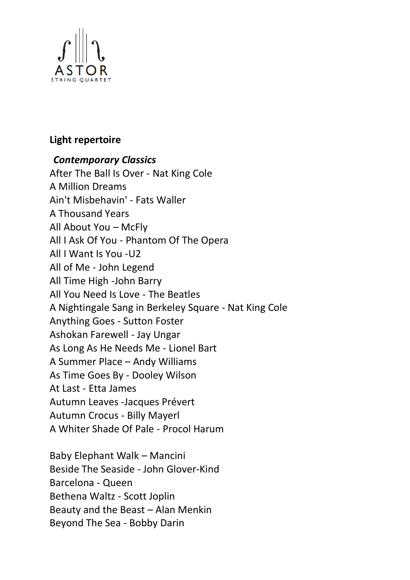

## **Light repertoire**

## *Contemporary Classics*

After The Ball Is Over - Nat King Cole A Million Dreams Ain't Misbehavin' - Fats Waller A Thousand Years All About You – McFly All I Ask Of You - Phantom Of The Opera All I Want Is You -U2 All of Me - John Legend All Time High -John Barry All You Need Is Love - The Beatles A Nightingale Sang in Berkeley Square - Nat King Cole Anything Goes - Sutton Foster Ashokan Farewell - Jay Ungar As Long As He Needs Me - Lionel Bart A Summer Place – Andy Williams As Time Goes By - Dooley Wilson At Last - Etta James Autumn Leaves -Jacques Prévert Autumn Crocus - Billy Mayerl A Whiter Shade Of Pale - Procol Harum

Baby Elephant Walk – Mancini Beside The Seaside - John Glover-Kind Barcelona - Queen Bethena Waltz - Scott Joplin Beauty and the Beast – Alan Menkin Beyond The Sea - Bobby Darin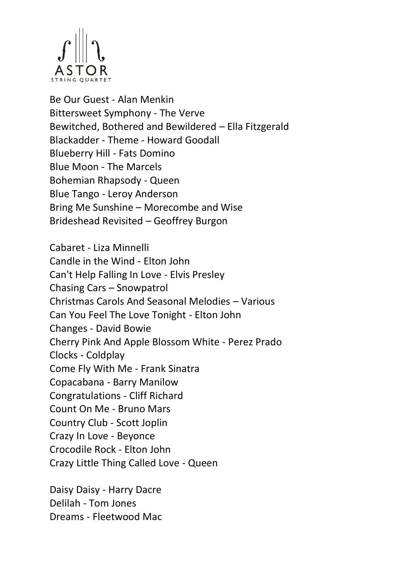

Be Our Guest - Alan Menkin Bittersweet Symphony - The Verve Bewitched, Bothered and Bewildered – Ella Fitzgerald Blackadder - Theme - Howard Goodall Blueberry Hill - Fats Domino Blue Moon - The Marcels Bohemian Rhapsody - Queen Blue Tango - Leroy Anderson Bring Me Sunshine – Morecombe and Wise Brideshead Revisited – Geoffrey Burgon

Cabaret - Liza Minnelli Candle in the Wind - Elton John Can't Help Falling In Love - Elvis Presley Chasing Cars – Snowpatrol Christmas Carols And Seasonal Melodies – Various Can You Feel The Love Tonight - Elton John Changes - David Bowie Cherry Pink And Apple Blossom White - Perez Prado Clocks - Coldplay Come Fly With Me - Frank Sinatra Copacabana - Barry Manilow Congratulations - Cliff Richard Count On Me - Bruno Mars Country Club - Scott Joplin Crazy In Love - Beyonce Crocodile Rock - Elton John Crazy Little Thing Called Love - Queen

Daisy Daisy - Harry Dacre Delilah - Tom Jones Dreams - Fleetwood Mac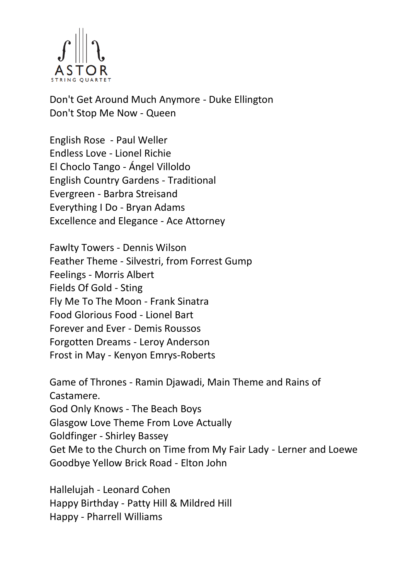

Don't Get Around Much Anymore - Duke Ellington Don't Stop Me Now - Queen

English Rose - Paul Weller Endless Love - Lionel Richie El Choclo Tango - Ángel Villoldo English Country Gardens - Traditional Evergreen - Barbra Streisand Everything I Do - Bryan Adams Excellence and Elegance - Ace Attorney

Fawlty Towers - Dennis Wilson Feather Theme - Silvestri, from Forrest Gump Feelings - Morris Albert Fields Of Gold - Sting Fly Me To The Moon - Frank Sinatra Food Glorious Food - Lionel Bart Forever and Ever - Demis Roussos Forgotten Dreams - Leroy Anderson Frost in May - Kenyon Emrys-Roberts

Game of Thrones - Ramin Djawadi, Main Theme and Rains of Castamere. God Only Knows - The Beach Boys Glasgow Love Theme From Love Actually Goldfinger - Shirley Bassey Get Me to the Church on Time from My Fair Lady - Lerner and Loewe Goodbye Yellow Brick Road - Elton John

Hallelujah - Leonard Cohen Happy Birthday - Patty Hill & Mildred Hill Happy - Pharrell Williams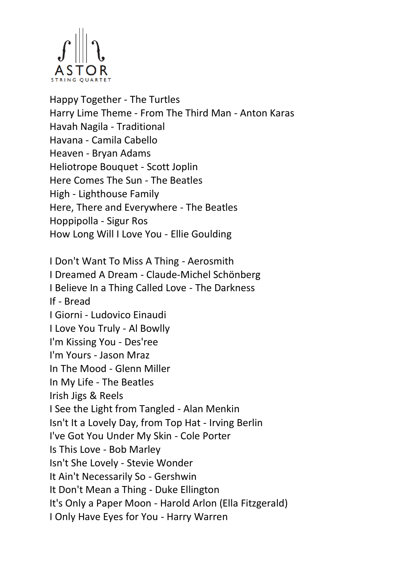

Happy Together - The Turtles Harry Lime Theme - From The Third Man - Anton Karas Havah Nagila - Traditional Havana - Camila Cabello Heaven - Bryan Adams Heliotrope Bouquet - Scott Joplin Here Comes The Sun - The Beatles High - Lighthouse Family Here, There and Everywhere - The Beatles Hoppipolla - Sigur Ros How Long Will I Love You - Ellie Goulding I Don't Want To Miss A Thing - Aerosmith I Dreamed A Dream - Claude-Michel Schönberg I Believe In a Thing Called Love - The Darkness If - Bread I Giorni - Ludovico Einaudi

I Love You Truly - Al Bowlly

I'm Kissing You - Des'ree

I'm Yours - Jason Mraz

In The Mood - Glenn Miller

In My Life - The Beatles

Irish Jigs & Reels

I See the Light from Tangled - Alan Menkin

Isn't It a Lovely Day, from Top Hat - Irving Berlin

I've Got You Under My Skin - Cole Porter

Is This Love - Bob Marley

Isn't She Lovely - Stevie Wonder

It Ain't Necessarily So - Gershwin

It Don't Mean a Thing - Duke Ellington

It's Only a Paper Moon - Harold Arlon (Ella Fitzgerald)

I Only Have Eyes for You - Harry Warren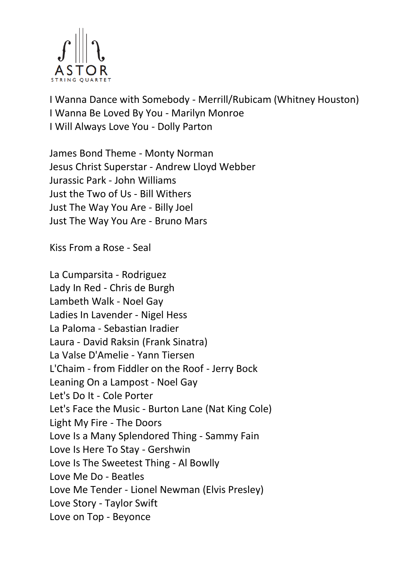

I Wanna Dance with Somebody - Merrill/Rubicam (Whitney Houston) I Wanna Be Loved By You - Marilyn Monroe I Will Always Love You - Dolly Parton

James Bond Theme - Monty Norman Jesus Christ Superstar - Andrew Lloyd Webber Jurassic Park - John Williams Just the Two of Us - Bill Withers Just The Way You Are - Billy Joel Just The Way You Are - Bruno Mars

Kiss From a Rose - Seal

La Cumparsita - Rodriguez Lady In Red - Chris de Burgh Lambeth Walk - Noel Gay Ladies In Lavender - Nigel Hess La Paloma - Sebastian Iradier Laura - David Raksin (Frank Sinatra) La Valse D'Amelie - Yann Tiersen L'Chaim - from Fiddler on the Roof - Jerry Bock Leaning On a Lampost - Noel Gay Let's Do It - Cole Porter Let's Face the Music - Burton Lane (Nat King Cole) Light My Fire - The Doors Love Is a Many Splendored Thing - Sammy Fain Love Is Here To Stay - Gershwin Love Is The Sweetest Thing - Al Bowlly Love Me Do - Beatles Love Me Tender - Lionel Newman (Elvis Presley) Love Story - Taylor Swift Love on Top - Beyonce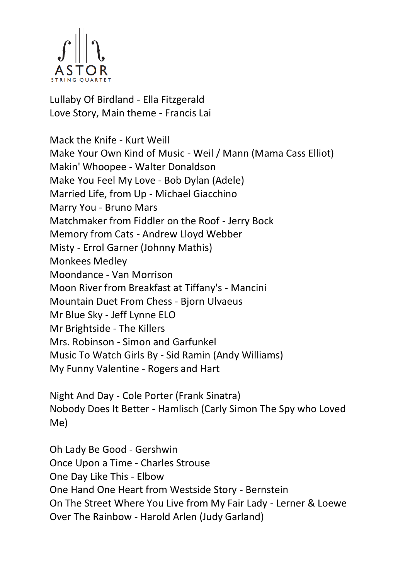

Lullaby Of Birdland - Ella Fitzgerald Love Story, Main theme - Francis Lai

Mack the Knife - Kurt Weill Make Your Own Kind of Music - Weil / Mann (Mama Cass Elliot) Makin' Whoopee - Walter Donaldson Make You Feel My Love - Bob Dylan (Adele) Married Life, from Up - Michael Giacchino Marry You - Bruno Mars Matchmaker from Fiddler on the Roof - Jerry Bock Memory from Cats - Andrew Lloyd Webber Misty - Errol Garner (Johnny Mathis) Monkees Medley Moondance - Van Morrison Moon River from Breakfast at Tiffany's - Mancini Mountain Duet From Chess - Bjorn Ulvaeus Mr Blue Sky - Jeff Lynne ELO Mr Brightside - The Killers Mrs. Robinson - Simon and Garfunkel Music To Watch Girls By - Sid Ramin (Andy Williams) My Funny Valentine - Rogers and Hart

Night And Day - Cole Porter (Frank Sinatra) Nobody Does It Better - Hamlisch (Carly Simon The Spy who Loved Me)

Oh Lady Be Good - Gershwin Once Upon a Time - Charles Strouse One Day Like This - Elbow One Hand One Heart from Westside Story - Bernstein On The Street Where You Live from My Fair Lady - Lerner & Loewe Over The Rainbow - Harold Arlen (Judy Garland)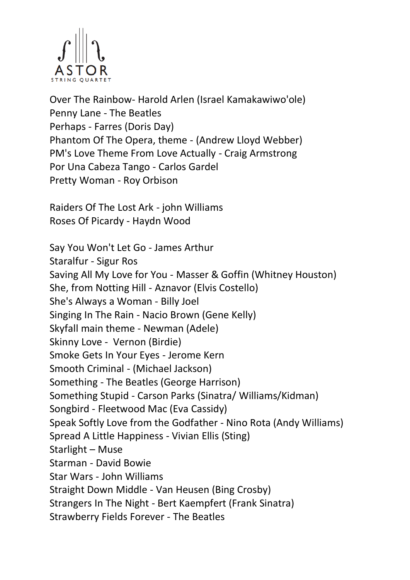

Over The Rainbow- Harold Arlen (Israel Kamakawiwo'ole) Penny Lane - The Beatles Perhaps - Farres (Doris Day) Phantom Of The Opera, theme - (Andrew Lloyd Webber) PM's Love Theme From Love Actually - Craig Armstrong Por Una Cabeza Tango - Carlos Gardel Pretty Woman - Roy Orbison

Raiders Of The Lost Ark - john Williams Roses Of Picardy - Haydn Wood

Say You Won't Let Go - James Arthur Staralfur - Sigur Ros Saving All My Love for You - Masser & Goffin (Whitney Houston) She, from Notting Hill - Aznavor (Elvis Costello) She's Always a Woman - Billy Joel Singing In The Rain - Nacio Brown (Gene Kelly) Skyfall main theme - Newman (Adele) Skinny Love - Vernon (Birdie) Smoke Gets In Your Eyes - Jerome Kern Smooth Criminal - (Michael Jackson) Something - The Beatles (George Harrison) Something Stupid - Carson Parks (Sinatra/ Williams/Kidman) Songbird - Fleetwood Mac (Eva Cassidy) Speak Softly Love from the Godfather - Nino Rota (Andy Williams) Spread A Little Happiness - Vivian Ellis (Sting) Starlight – Muse Starman - David Bowie Star Wars - John Williams Straight Down Middle - Van Heusen (Bing Crosby) Strangers In The Night - Bert Kaempfert (Frank Sinatra) Strawberry Fields Forever - The Beatles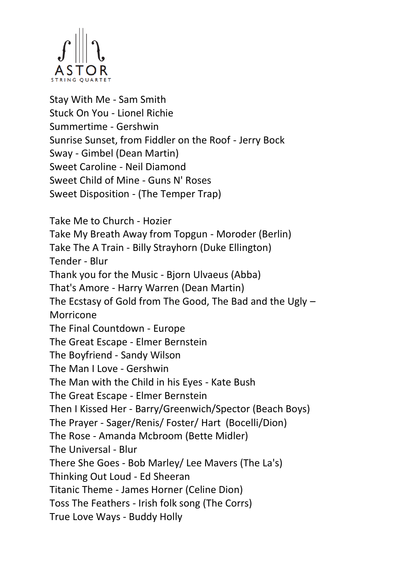

Stay With Me - Sam Smith Stuck On You - Lionel Richie Summertime - Gershwin Sunrise Sunset, from Fiddler on the Roof - Jerry Bock Sway - Gimbel (Dean Martin) Sweet Caroline - Neil Diamond Sweet Child of Mine - Guns N' Roses Sweet Disposition - (The Temper Trap)

Take Me to Church - Hozier Take My Breath Away from Topgun - Moroder (Berlin) Take The A Train - Billy Strayhorn (Duke Ellington) Tender - Blur Thank you for the Music - Bjorn Ulvaeus (Abba) That's Amore - Harry Warren (Dean Martin) The Ecstasy of Gold from The Good, The Bad and the Ugly – Morricone The Final Countdown - Europe The Great Escape - Elmer Bernstein The Boyfriend - Sandy Wilson The Man I Love - Gershwin The Man with the Child in his Eyes - Kate Bush The Great Escape - Elmer Bernstein Then I Kissed Her - Barry/Greenwich/Spector (Beach Boys) The Prayer - Sager/Renis/ Foster/ Hart (Bocelli/Dion) The Rose - Amanda Mcbroom (Bette Midler) The Universal - Blur There She Goes - Bob Marley/ Lee Mavers (The La's) Thinking Out Loud - Ed Sheeran Titanic Theme - James Horner (Celine Dion) Toss The Feathers - Irish folk song (The Corrs) True Love Ways - Buddy Holly